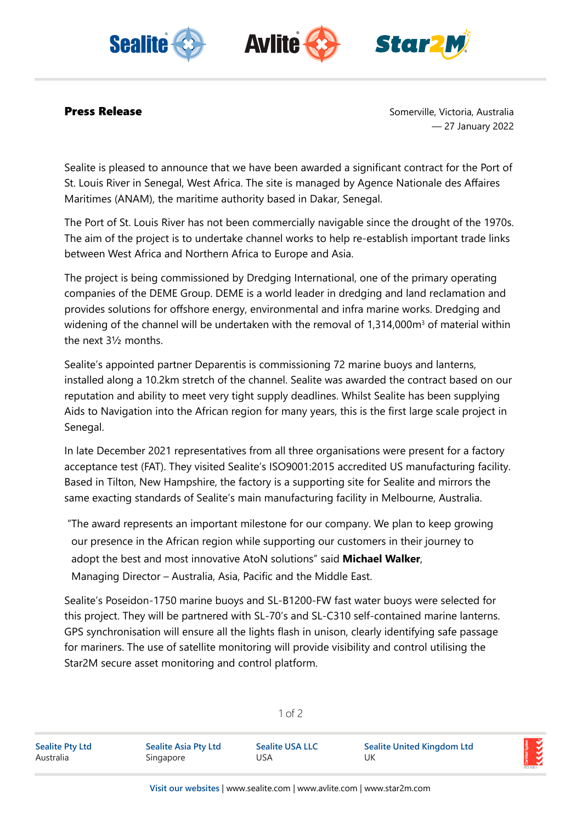





**Press Release** Somerville, Victoria, Australia — 27 January 2022

Sealite is pleased to announce that we have been awarded a significant contract for the Port of St. Louis River in Senegal, West Africa. The site is managed by Agence Nationale des Affaires Maritimes (ANAM), the maritime authority based in Dakar, Senegal.

The Port of St. Louis River has not been commercially navigable since the drought of the 1970s. The aim of the project is to undertake channel works to help re-establish important trade links between West Africa and Northern Africa to Europe and Asia.

The project is being commissioned by Dredging International, one of the primary operating companies of the DEME Group. DEME is a world leader in dredging and land reclamation and provides solutions for offshore energy, environmental and infra marine works. Dredging and widening of the channel will be undertaken with the removal of 1,314,000 $\mathsf{m}^{\scriptscriptstyle 3}$  of material within the next 3½ months.

Sealite's appointed partner Deparentis is commissioning 72 marine buoys and lanterns, installed along a 10.2km stretch of the channel. Sealite was awarded the contract based on our reputation and ability to meet very tight supply deadlines. Whilst Sealite has been supplying Aids to Navigation into the African region for many years, this is the first large scale project in Senegal.

In late December 2021 representatives from all three organisations were present for a factory acceptance test (FAT). They visited Sealite's ISO9001:2015 accredited US manufacturing facility. Based in Tilton, New Hampshire, the factory is a supporting site for Sealite and mirrors the same exacting standards of Sealite's main manufacturing facility in Melbourne, Australia.

 "The award represents an important milestone for our company. We plan to keep growing our presence in the African region while supporting our customers in their journey to adopt the best and most innovative AtoN solutions" said **Michael Walker**, Managing Director – Australia, Asia, Pacific and the Middle East.

Sealite's Poseidon-1750 marine buoys and SL-B1200-FW fast water buoys were selected for this project. They will be partnered with SL-70's and SL-C310 self-contained marine lanterns. GPS synchronisation will ensure all the lights flash in unison, clearly identifying safe passage for mariners. The use of satellite monitoring will provide visibility and control utilising the Star2M secure asset monitoring and control platform.

| <b>Sealite Pty Ltd</b> | <b>Sealite Asia Pty Ltd</b> | <b>Sealite USA LLC</b> | <b>Sealite United Kingdom Ltd</b> |  |
|------------------------|-----------------------------|------------------------|-----------------------------------|--|
| Australia              | Singapore                   | JSA                    | UK                                |  |

1 of 2